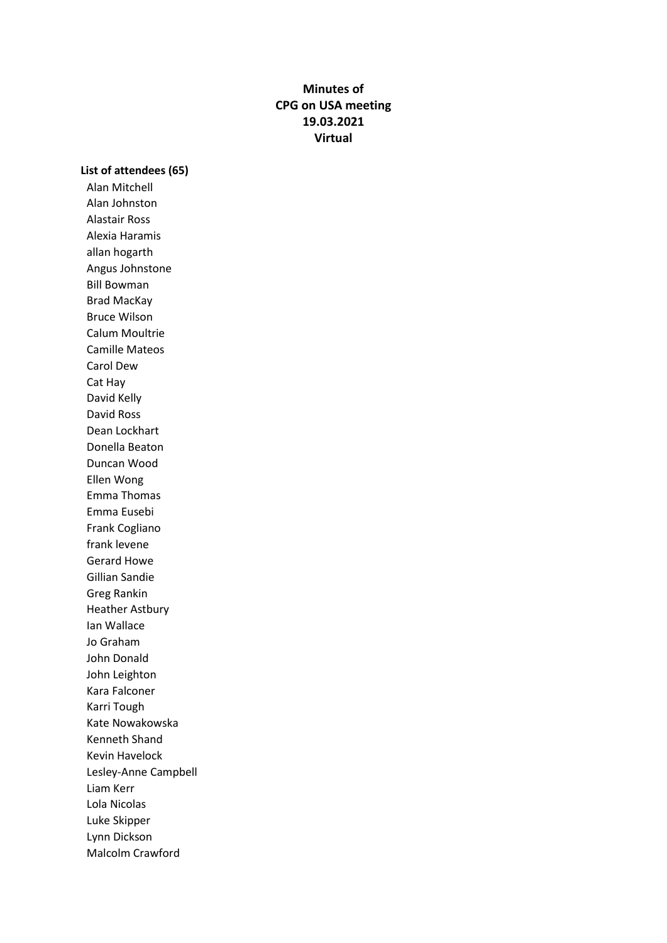# **Minutes of CPG on USA meeting 19.03.2021 Virtual**

**List of attendees (65)**

Alan Mitchell Alan Johnston Alastair Ross Alexia Haramis allan hogarth Angus Johnstone Bill Bowman Brad MacKay Bruce Wilson Calum Moultrie Camille Mateos Carol Dew Cat Hay David Kelly David Ross Dean Lockhart Donella Beaton Duncan Wood Ellen Wong Emma Thomas Emma Eusebi Frank Cogliano frank levene Gerard Howe Gillian Sandie Greg Rankin Heather Astbury Ian Wallace Jo Graham John Donald John Leighton Kara Falconer Karri Tough Kate Nowakowska Kenneth Shand Kevin Havelock Lesley-Anne Campbell Liam Kerr Lola Nicolas Luke Skipper Lynn Dickson Malcolm Crawford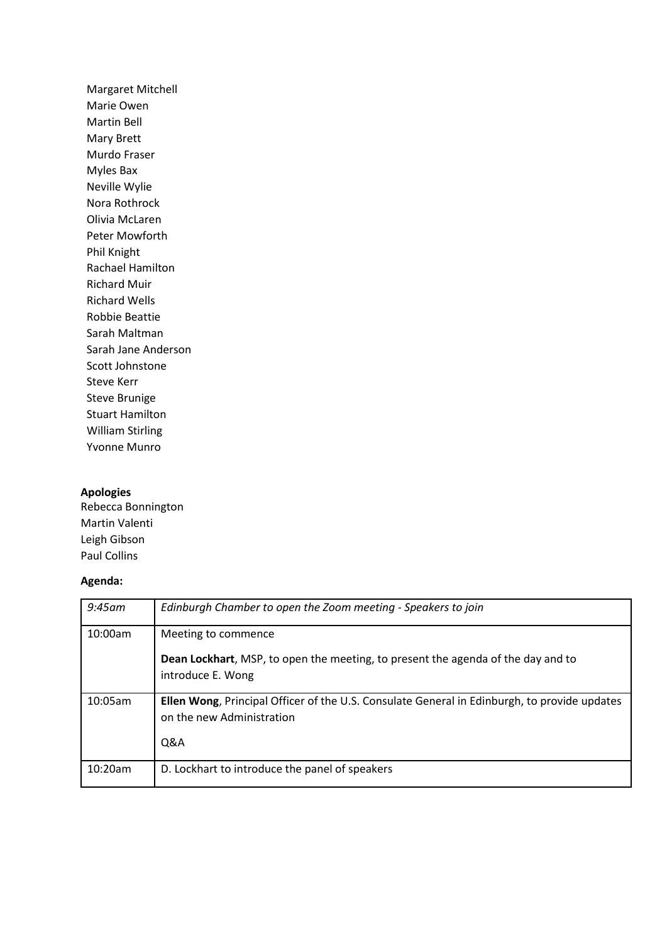Margaret Mitchell Marie Owen Martin Bell Mary Brett Murdo Fraser Myles Bax Neville Wylie Nora Rothrock Olivia McLaren Peter Mowforth Phil Knight Rachael Hamilton Richard Muir Richard Wells Robbie Beattie Sarah Maltman Sarah Jane Anderson Scott Johnstone Steve Kerr Steve Brunige Stuart Hamilton William Stirling Yvonne Munro

## **Apologies**

Rebecca Bonnington Martin Valenti Leigh Gibson Paul Collins

#### **Agenda:**

| $9:45$ am | Edinburgh Chamber to open the Zoom meeting - Speakers to join                                                                        |
|-----------|--------------------------------------------------------------------------------------------------------------------------------------|
| 10:00am   | Meeting to commence<br><b>Dean Lockhart</b> , MSP, to open the meeting, to present the agenda of the day and to<br>introduce E. Wong |
| 10:05am   | Ellen Wong, Principal Officer of the U.S. Consulate General in Edinburgh, to provide updates<br>on the new Administration<br>Q&A     |
| 10:20am   | D. Lockhart to introduce the panel of speakers                                                                                       |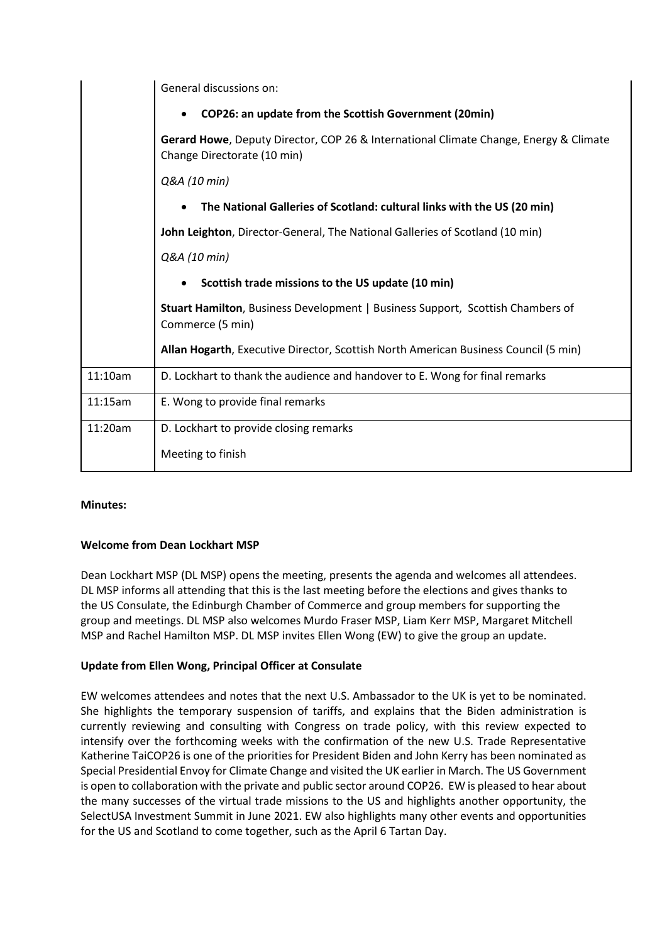|         | General discussions on:                                                                                              |
|---------|----------------------------------------------------------------------------------------------------------------------|
|         | COP26: an update from the Scottish Government (20min)                                                                |
|         | Gerard Howe, Deputy Director, COP 26 & International Climate Change, Energy & Climate<br>Change Directorate (10 min) |
|         | Q&A (10 min)                                                                                                         |
|         | The National Galleries of Scotland: cultural links with the US (20 min)                                              |
|         | John Leighton, Director-General, The National Galleries of Scotland (10 min)                                         |
|         | Q&A (10 min)                                                                                                         |
|         | Scottish trade missions to the US update (10 min)                                                                    |
|         | Stuart Hamilton, Business Development   Business Support, Scottish Chambers of<br>Commerce (5 min)                   |
|         | Allan Hogarth, Executive Director, Scottish North American Business Council (5 min)                                  |
| 11:10am | D. Lockhart to thank the audience and handover to E. Wong for final remarks                                          |
| 11:15am | E. Wong to provide final remarks                                                                                     |
| 11:20am | D. Lockhart to provide closing remarks                                                                               |
|         | Meeting to finish                                                                                                    |

## **Minutes:**

## **Welcome from Dean Lockhart MSP**

Dean Lockhart MSP (DL MSP) opens the meeting, presents the agenda and welcomes all attendees. DL MSP informs all attending that this is the last meeting before the elections and gives thanks to the US Consulate, the Edinburgh Chamber of Commerce and group members for supporting the group and meetings. DL MSP also welcomes Murdo Fraser MSP, Liam Kerr MSP, Margaret Mitchell MSP and Rachel Hamilton MSP. DL MSP invites Ellen Wong (EW) to give the group an update.

## **Update from Ellen Wong, Principal Officer at Consulate**

EW welcomes attendees and notes that the next U.S. Ambassador to the UK is yet to be nominated. She highlights the temporary suspension of tariffs, and explains that the Biden administration is currently reviewing and consulting with Congress on trade policy, with this review expected to intensify over the forthcoming weeks with the confirmation of the new U.S. Trade Representative Katherine TaiCOP26 is one of the priorities for President Biden and John Kerry has been nominated as Special Presidential Envoy for Climate Change and visited the UK earlier in March. The US Government is open to collaboration with the private and public sector around COP26. EW is pleased to hear about the many successes of the virtual trade missions to the US and highlights another opportunity, the SelectUSA Investment Summit in June 2021. EW also highlights many other events and opportunities for the US and Scotland to come together, such as the April 6 Tartan Day.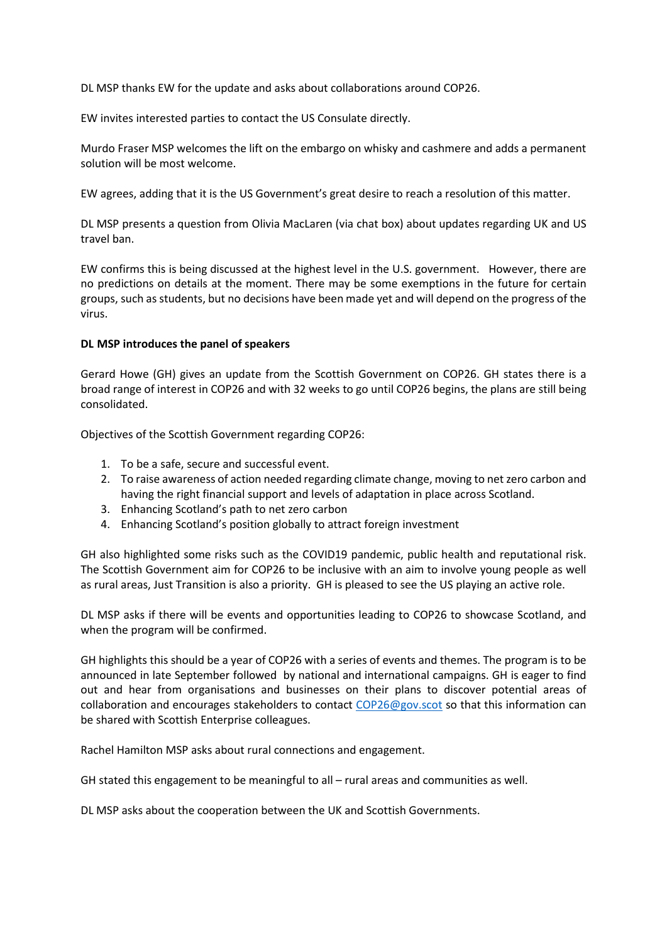DL MSP thanks EW for the update and asks about collaborations around COP26.

EW invites interested parties to contact the US Consulate directly.

Murdo Fraser MSP welcomes the lift on the embargo on whisky and cashmere and adds a permanent solution will be most welcome.

EW agrees, adding that it is the US Government's great desire to reach a resolution of this matter.

DL MSP presents a question from Olivia MacLaren (via chat box) about updates regarding UK and US travel ban.

EW confirms this is being discussed at the highest level in the U.S. government. However, there are no predictions on details at the moment. There may be some exemptions in the future for certain groups, such as students, but no decisions have been made yet and will depend on the progress of the virus.

#### **DL MSP introduces the panel of speakers**

Gerard Howe (GH) gives an update from the Scottish Government on COP26. GH states there is a broad range of interest in COP26 and with 32 weeks to go until COP26 begins, the plans are still being consolidated.

Objectives of the Scottish Government regarding COP26:

- 1. To be a safe, secure and successful event.
- 2. To raise awareness of action needed regarding climate change, moving to net zero carbon and having the right financial support and levels of adaptation in place across Scotland.
- 3. Enhancing Scotland's path to net zero carbon
- 4. Enhancing Scotland's position globally to attract foreign investment

GH also highlighted some risks such as the COVID19 pandemic, public health and reputational risk. The Scottish Government aim for COP26 to be inclusive with an aim to involve young people as well as rural areas, Just Transition is also a priority. GH is pleased to see the US playing an active role.

DL MSP asks if there will be events and opportunities leading to COP26 to showcase Scotland, and when the program will be confirmed.

GH highlights this should be a year of COP26 with a series of events and themes. The program is to be announced in late September followed by national and international campaigns. GH is eager to find out and hear from organisations and businesses on their plans to discover potential areas of collaboration and encourages stakeholders to contact [COP26@gov.scot](mailto:COP26@gov.scot) so that this information can be shared with Scottish Enterprise colleagues.

Rachel Hamilton MSP asks about rural connections and engagement.

GH stated this engagement to be meaningful to all – rural areas and communities as well.

DL MSP asks about the cooperation between the UK and Scottish Governments.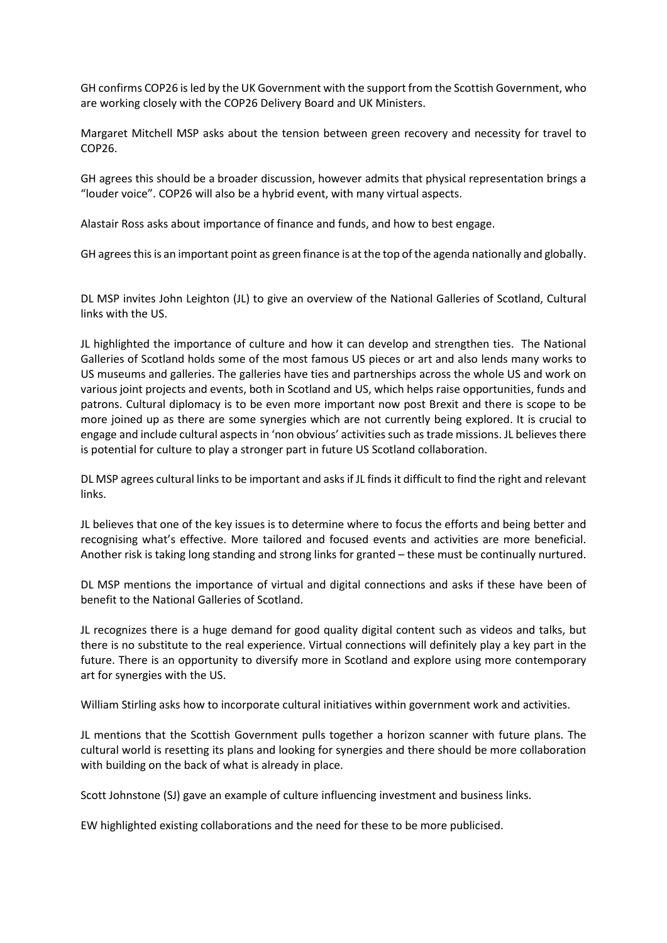GH confirms COP26 isled by the UK Government with the support from the Scottish Government, who are working closely with the COP26 Delivery Board and UK Ministers.

Margaret Mitchell MSP asks about the tension between green recovery and necessity for travel to COP26.

GH agrees this should be a broader discussion, however admits that physical representation brings a "louder voice". COP26 will also be a hybrid event, with many virtual aspects.

Alastair Ross asks about importance of finance and funds, and how to best engage.

GH agreesthisis an important point as green finance is at the top ofthe agenda nationally and globally.

DL MSP invites John Leighton (JL) to give an overview of the National Galleries of Scotland, Cultural links with the US.

JL highlighted the importance of culture and how it can develop and strengthen ties. The National Galleries of Scotland holds some of the most famous US pieces or art and also lends many works to US museums and galleries. The galleries have ties and partnerships across the whole US and work on various joint projects and events, both in Scotland and US, which helps raise opportunities, funds and patrons. Cultural diplomacy is to be even more important now post Brexit and there is scope to be more joined up as there are some synergies which are not currently being explored. It is crucial to engage and include cultural aspects in 'non obvious' activities such as trade missions. JL believes there is potential for culture to play a stronger part in future US Scotland collaboration.

DL MSP agrees cultural links to be important and asks if JL finds it difficult to find the right and relevant links.

JL believes that one of the key issues is to determine where to focus the efforts and being better and recognising what's effective. More tailored and focused events and activities are more beneficial. Another risk is taking long standing and strong links for granted – these must be continually nurtured.

DL MSP mentions the importance of virtual and digital connections and asks if these have been of benefit to the National Galleries of Scotland.

JL recognizes there is a huge demand for good quality digital content such as videos and talks, but there is no substitute to the real experience. Virtual connections will definitely play a key part in the future. There is an opportunity to diversify more in Scotland and explore using more contemporary art for synergies with the US.

William Stirling asks how to incorporate cultural initiatives within government work and activities.

JL mentions that the Scottish Government pulls together a horizon scanner with future plans. The cultural world is resetting its plans and looking for synergies and there should be more collaboration with building on the back of what is already in place.

Scott Johnstone (SJ) gave an example of culture influencing investment and business links.

EW highlighted existing collaborations and the need for these to be more publicised.